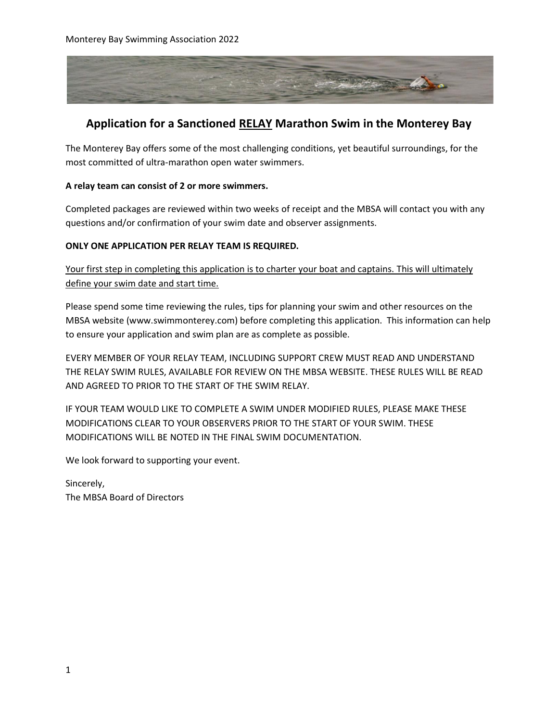

## **Application for a Sanctioned RELAY Marathon Swim in the Monterey Bay**

The Monterey Bay offers some of the most challenging conditions, yet beautiful surroundings, for the most committed of ultra-marathon open water swimmers.

#### **A relay team can consist of 2 or more swimmers.**

Completed packages are reviewed within two weeks of receipt and the MBSA will contact you with any questions and/or confirmation of your swim date and observer assignments.

#### **ONLY ONE APPLICATION PER RELAY TEAM IS REQUIRED.**

Your first step in completing this application is to charter your boat and captains. This will ultimately define your swim date and start time.

Please spend some time reviewing the rules, tips for planning your swim and other resources on the MBSA website (www.swimmonterey.com) before completing this application. This information can help to ensure your application and swim plan are as complete as possible.

EVERY MEMBER OF YOUR RELAY TEAM, INCLUDING SUPPORT CREW MUST READ AND UNDERSTAND THE RELAY SWIM RULES, AVAILABLE FOR REVIEW ON THE MBSA WEBSITE. THESE RULES WILL BE READ AND AGREED TO PRIOR TO THE START OF THE SWIM RELAY.

IF YOUR TEAM WOULD LIKE TO COMPLETE A SWIM UNDER MODIFIED RULES, PLEASE MAKE THESE MODIFICATIONS CLEAR TO YOUR OBSERVERS PRIOR TO THE START OF YOUR SWIM. THESE MODIFICATIONS WILL BE NOTED IN THE FINAL SWIM DOCUMENTATION.

We look forward to supporting your event.

Sincerely, The MBSA Board of Directors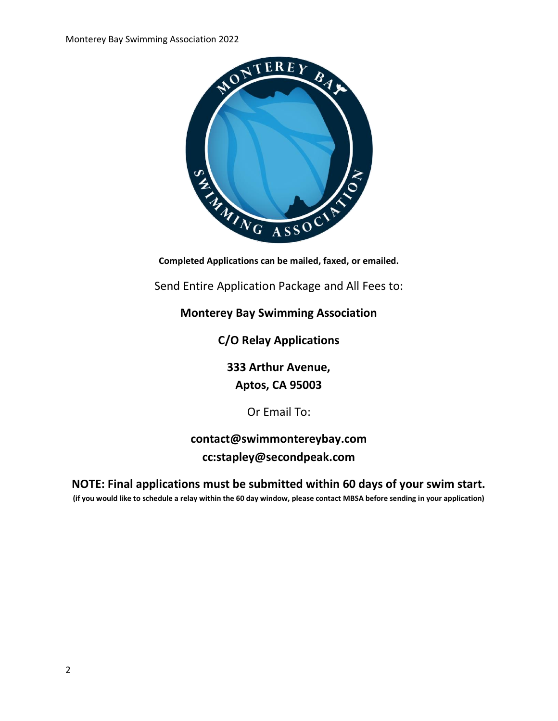

Send Entire Application Package and All Fees to:

### **Monterey Bay Swimming Association**

**C/O Relay Applications**

**333 Arthur Avenue,**

**Aptos, CA 95003**

Or Email To:

**contact@swimmontereybay.com cc:stapley@secondpeak.com**

**NOTE: Final applications must be submitted within 60 days of your swim start. (if you would like to schedule a relay within the 60 day window, please contact MBSA before sending in your application)**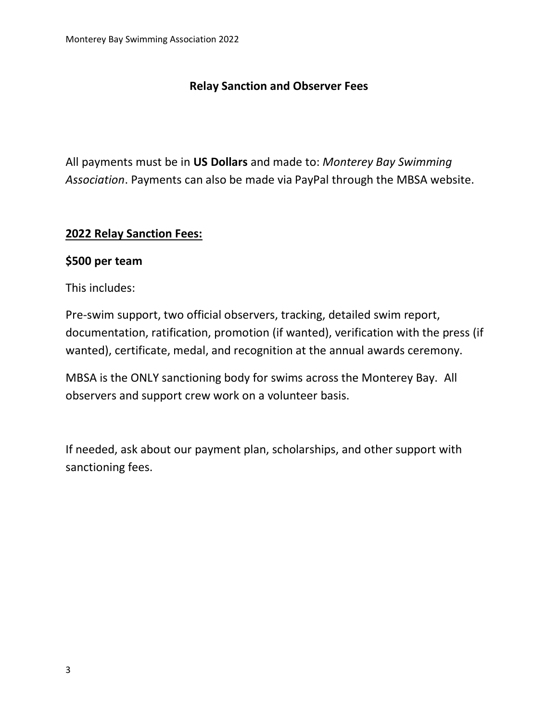# **Relay Sanction and Observer Fees**

All payments must be in **US Dollars** and made to: *Monterey Bay Swimming Association*. Payments can also be made via PayPal through the MBSA website.

## **2022 Relay Sanction Fees:**

#### **\$500 per team**

This includes:

Pre-swim support, two official observers, tracking, detailed swim report, documentation, ratification, promotion (if wanted), verification with the press (if wanted), certificate, medal, and recognition at the annual awards ceremony.

MBSA is the ONLY sanctioning body for swims across the Monterey Bay. All observers and support crew work on a volunteer basis.

If needed, ask about our payment plan, scholarships, and other support with sanctioning fees.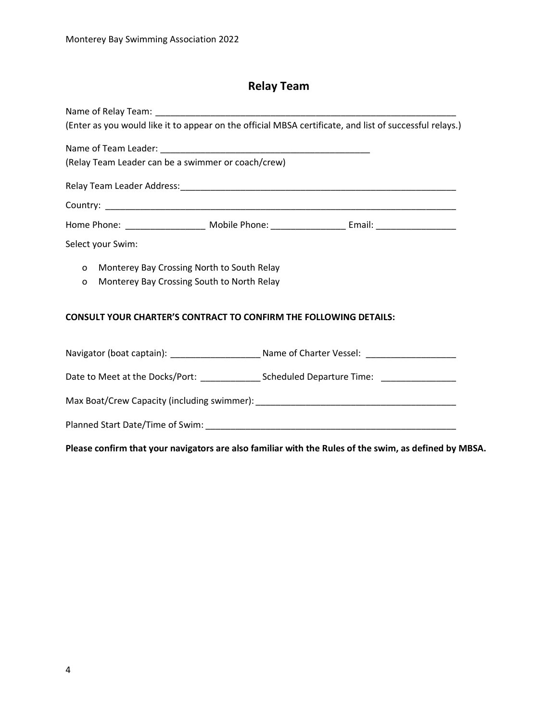# **Relay Team**

| (Enter as you would like it to appear on the official MBSA certificate, and list of successful relays.) |                                                                                                     |  |
|---------------------------------------------------------------------------------------------------------|-----------------------------------------------------------------------------------------------------|--|
|                                                                                                         |                                                                                                     |  |
| (Relay Team Leader can be a swimmer or coach/crew)                                                      |                                                                                                     |  |
|                                                                                                         |                                                                                                     |  |
|                                                                                                         |                                                                                                     |  |
|                                                                                                         |                                                                                                     |  |
| Select your Swim:                                                                                       |                                                                                                     |  |
| o Monterey Bay Crossing North to South Relay<br>Monterey Bay Crossing South to North Relay<br>$\circ$   |                                                                                                     |  |
| <b>CONSULT YOUR CHARTER'S CONTRACT TO CONFIRM THE FOLLOWING DETAILS:</b>                                |                                                                                                     |  |
|                                                                                                         | Navigator (boat captain): __________________________ Name of Charter Vessel: ______________________ |  |
|                                                                                                         |                                                                                                     |  |
|                                                                                                         |                                                                                                     |  |
|                                                                                                         |                                                                                                     |  |
|                                                                                                         |                                                                                                     |  |

**Please confirm that your navigators are also familiar with the Rules of the swim, as defined by MBSA.**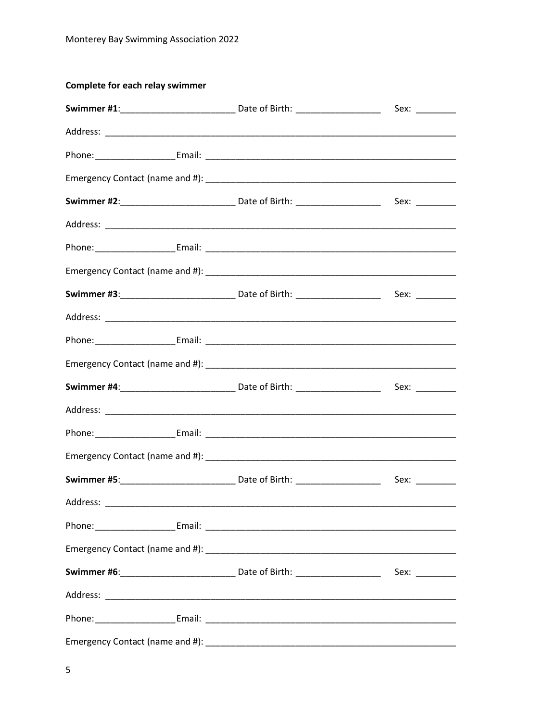#### **Complete for each relay swimmer**